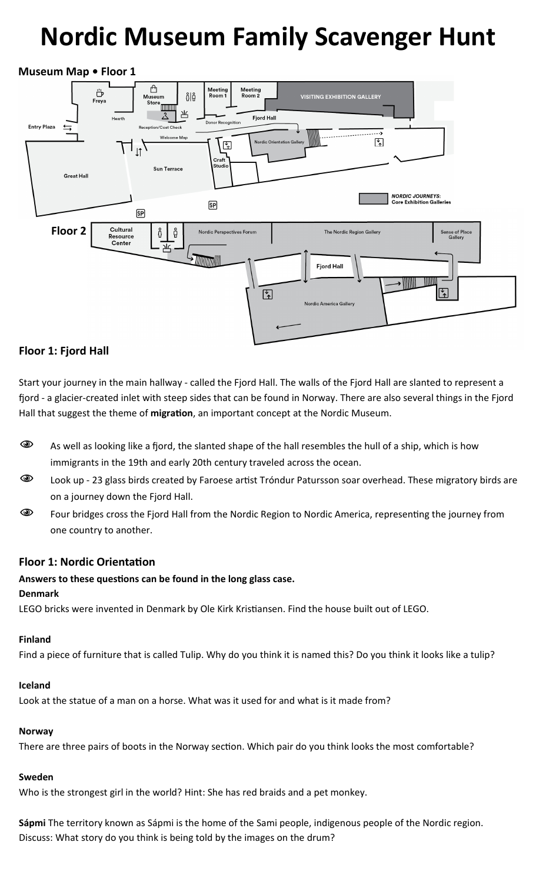# Nordic Museum Family Scavenger Hunt

# Museum Map • Floor 1



# Floor 1: Fjord Hall

Start your journey in the main hallway - called the Fjord Hall. The walls of the Fjord Hall are slanted to represent a fjord - a glacier-created inlet with steep sides that can be found in Norway. There are also several things in the Fjord Hall that suggest the theme of migration, an important concept at the Nordic Museum.

- $\bullet\hspace{10pt}$  As well as looking like a fjord, the slanted shape of the hall resembles the hull of a ship, which is how immigrants in the 19th and early 20th century traveled across the ocean.
- Cook up 23 glass birds created by Faroese artist Tróndur Patursson soar overhead. These migratory birds are on a journey down the Fjord Hall.
- **EXECT AM** Four bridges cross the Fjord Hall from the Nordic Region to Nordic America, representing the journey from one country to another.

# Floor 1: Nordic Orientation

# Answers to these questions can be found in the long glass case.

## Denmark

LEGO bricks were invented in Denmark by Ole Kirk Kristiansen. Find the house built out of LEGO.

## Finland

Find a piece of furniture that is called Tulip. Why do you think it is named this? Do you think it looks like a tulip?

## Iceland

Look at the statue of a man on a horse. What was it used for and what is it made from?

## Norway

There are three pairs of boots in the Norway section. Which pair do you think looks the most comfortable?

# Sweden

Who is the strongest girl in the world? Hint: She has red braids and a pet monkey.

Sápmi The territory known as Sápmi is the home of the Sami people, indigenous people of the Nordic region. Discuss: What story do you think is being told by the images on the drum?